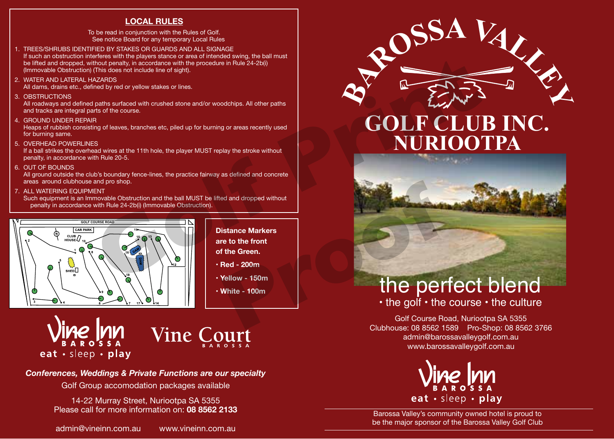## **LOCAL RULES**

To be read in conjunction with the Rules of Golf. See notice Board for any temporary Local Rules

- 1. TREES/SHRUBS IDENTIFIED BY STAKES OR GUARDS AND ALL SIGNAGE If such an obstruction interferes with the players stance or area of intended swing, the ball must be lifted and dropped, without penalty, in accordance with the procedure in Rule 24-2b(i) (Immovable Obstruction) (This does not include line of sight).
- 2. WATER AND LATERAL HAZARDS

All dams, drains etc., defined by red or yellow stakes or lines.

3. OBSTRUCTIONS

All roadways and defined paths surfaced with crushed stone and/or woodchips. All other paths and tracks are integral parts of the course.

4. GROUND UNDER REPAIR

Heaps of rubbish consisting of leaves, branches etc, piled up for burning or areas recently used for burning same.

5. OVERHEAD POWERLINES

If a ball strikes the overhead wires at the 11th hole, the player MUST replay the stroke without penalty, in accordance with Rule 20-5.

6. OUT OF BOUNDS

All ground outside the club's boundary fence-lines, the practice fairway as defined and concrete areas around clubhouse and pro shop.

7. ALL WATERING EQUIPMENT

Such equipment is an Immovable Obstruction and the ball MUST be lifted and dropped without penalty in accordance with Rule 24-2b(i) (Immovable Obstruction).





## *Conferences, Weddings & Private Functions are our specialty*

Golf Group accomodation packages available

14-22 Murray Street, Nuriootpa SA 5355 Please call for more information on: **08 8562 2133**

admin@vineinn.com.au www.vineinn.com.au



## **GOLF CLUB INC. NURIOOTPA**



## the perfect blend

• the golf • the course • the culture

Golf Course Road, Nuriootpa SA 5355 Clubhouse: 08 8562 1589 Pro-Shop: 08 8562 3766 admin@barossavalleygolf.com.au www.barossavalleygolf.com.au



Barossa Valley's community owned hotel is proud to be the major sponsor of the Barossa Valley Golf Club